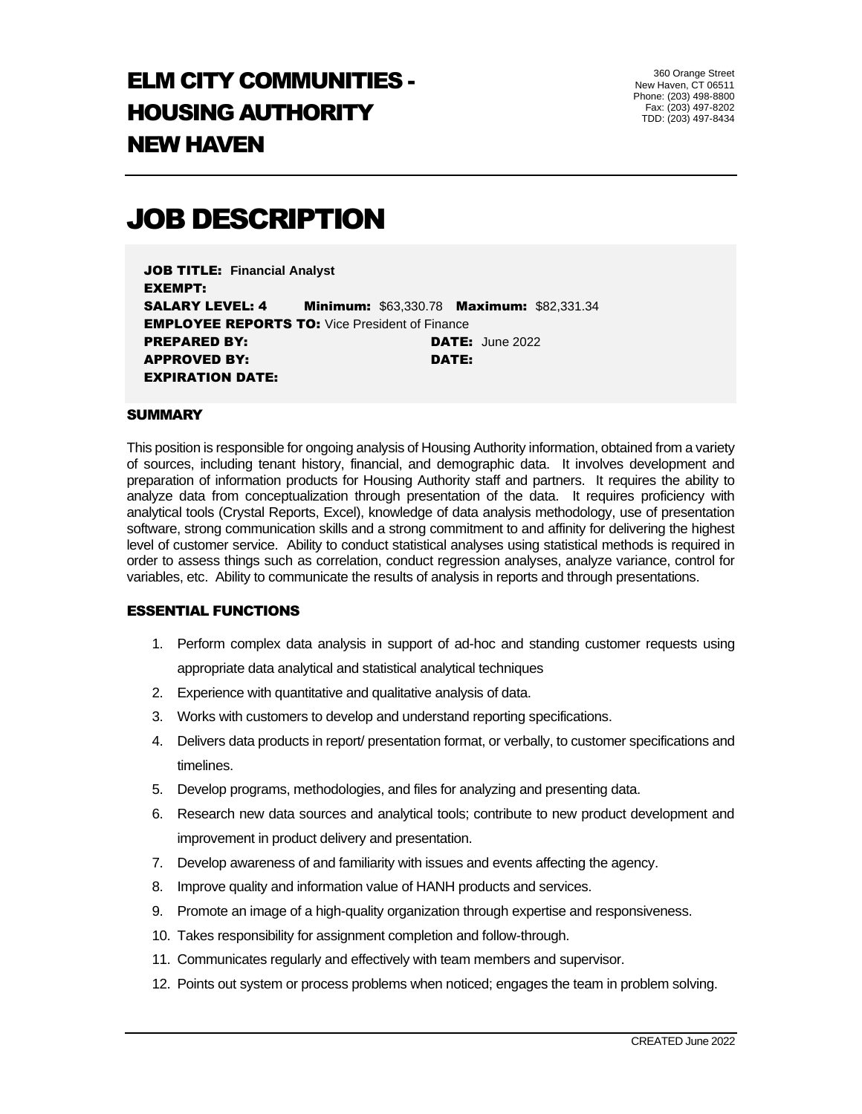## ELM CITY COMMUNITIES - HOUSING AUTHORITY NEW HAVEN

360 Orange Street New Haven, CT 06511 Phone: (203) 498-8800 Fax: (203) 497-8202 TDD: (203) 497-8434

# JOB DESCRIPTION

JOB TITLE: **Financial Analyst** EXEMPT: SALARY LEVEL: 4 Minimum: \$63,330.78 Maximum: \$82,331.34 **EMPLOYEE REPORTS TO: Vice President of Finance** PREPARED BY: DATE: June 2022 APPROVED BY: DATE: EXPIRATION DATE:

#### **SUMMARY**

This position is responsible for ongoing analysis of Housing Authority information, obtained from a variety of sources, including tenant history, financial, and demographic data. It involves development and preparation of information products for Housing Authority staff and partners. It requires the ability to analyze data from conceptualization through presentation of the data. It requires proficiency with analytical tools (Crystal Reports, Excel), knowledge of data analysis methodology, use of presentation software, strong communication skills and a strong commitment to and affinity for delivering the highest level of customer service. Ability to conduct statistical analyses using statistical methods is required in order to assess things such as correlation, conduct regression analyses, analyze variance, control for variables, etc. Ability to communicate the results of analysis in reports and through presentations.

#### ESSENTIAL FUNCTIONS

- 1. Perform complex data analysis in support of ad-hoc and standing customer requests using appropriate data analytical and statistical analytical techniques
- 2. Experience with quantitative and qualitative analysis of data.
- 3. Works with customers to develop and understand reporting specifications.
- 4. Delivers data products in report/ presentation format, or verbally, to customer specifications and timelines.
- 5. Develop programs, methodologies, and files for analyzing and presenting data.
- 6. Research new data sources and analytical tools; contribute to new product development and improvement in product delivery and presentation.
- 7. Develop awareness of and familiarity with issues and events affecting the agency.
- 8. Improve quality and information value of HANH products and services.
- 9. Promote an image of a high-quality organization through expertise and responsiveness.
- 10. Takes responsibility for assignment completion and follow-through.
- 11. Communicates regularly and effectively with team members and supervisor.
- 12. Points out system or process problems when noticed; engages the team in problem solving.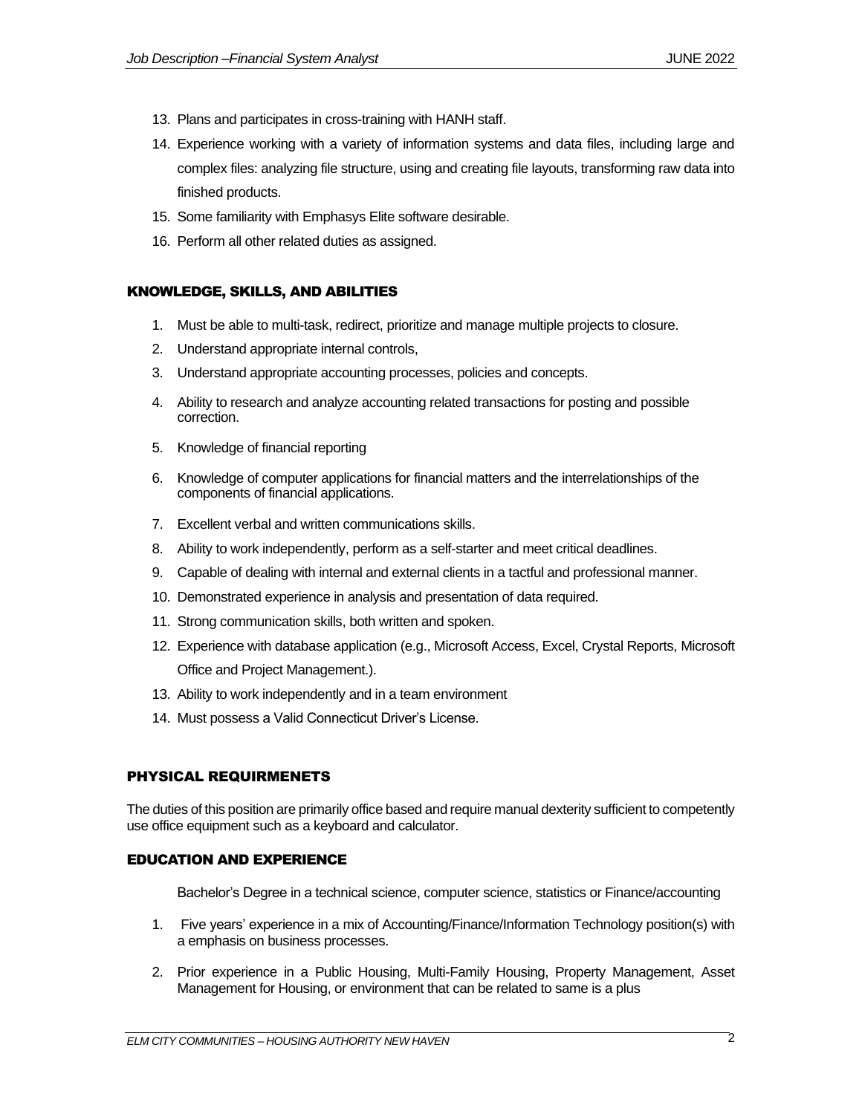- 13. Plans and participates in cross-training with HANH staff.
- 14. Experience working with a variety of information systems and data files, including large and complex files: analyzing file structure, using and creating file layouts, transforming raw data into finished products.
- 15. Some familiarity with Emphasys Elite software desirable.
- 16. Perform all other related duties as assigned.

## KNOWLEDGE, SKILLS, AND ABILITIES

- 1. Must be able to multi-task, redirect, prioritize and manage multiple projects to closure.
- 2. Understand appropriate internal controls,
- 3. Understand appropriate accounting processes, policies and concepts.
- 4. Ability to research and analyze accounting related transactions for posting and possible correction.
- 5. Knowledge of financial reporting
- 6. Knowledge of computer applications for financial matters and the interrelationships of the components of financial applications.
- 7. Excellent verbal and written communications skills.
- 8. Ability to work independently, perform as a self-starter and meet critical deadlines.
- 9. Capable of dealing with internal and external clients in a tactful and professional manner.
- 10. Demonstrated experience in analysis and presentation of data required.
- 11. Strong communication skills, both written and spoken.
- 12. Experience with database application (e.g., Microsoft Access, Excel, Crystal Reports, Microsoft Office and Project Management.).
- 13. Ability to work independently and in a team environment
- 14. Must possess a Valid Connecticut Driver's License.

## PHYSICAL REQUIRMENETS

The duties of this position are primarily office based and require manual dexterity sufficient to competently use office equipment such as a keyboard and calculator.

## EDUCATION AND EXPERIENCE

Bachelor's Degree in a technical science, computer science, statistics or Finance/accounting

- 1. Five years' experience in a mix of Accounting/Finance/Information Technology position(s) with a emphasis on business processes.
- 2. Prior experience in a Public Housing, Multi-Family Housing, Property Management, Asset Management for Housing, or environment that can be related to same is a plus